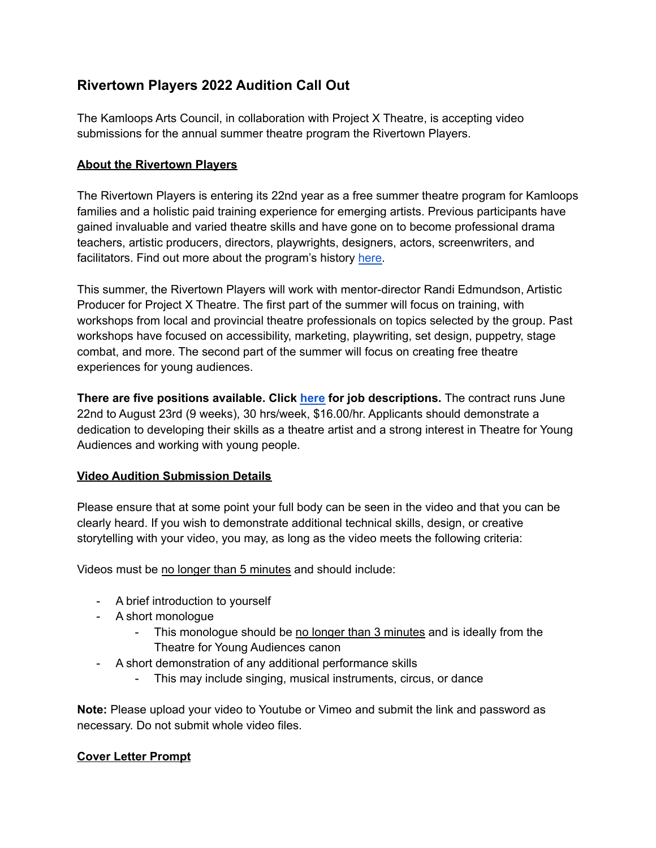# **Rivertown Players 2022 Audition Call Out**

The Kamloops Arts Council, in collaboration with Project X Theatre, is accepting video submissions for the annual summer theatre program the Rivertown Players.

### **About the Rivertown Players**

The Rivertown Players is entering its 22nd year as a free summer theatre program for Kamloops families and a holistic paid training experience for emerging artists. Previous participants have gained invaluable and varied theatre skills and have gone on to become professional drama teachers, artistic producers, directors, playwrights, designers, actors, screenwriters, and facilitators. Find out more about the program's history [here.](https://kamloopsarts.ca/program/rivertown-players/#:~:text=The%20Rivertown%20Players%20program%20fosters,positions%20with%20professional%20theatre%20companies.)

This summer, the Rivertown Players will work with mentor-director Randi Edmundson, Artistic Producer for Project X Theatre. The first part of the summer will focus on training, with workshops from local and provincial theatre professionals on topics selected by the group. Past workshops have focused on accessibility, marketing, playwriting, set design, puppetry, stage combat, and more. The second part of the summer will focus on creating free theatre experiences for young audiences.

**There are five positions available. Click [here](https://docs.google.com/document/d/1ER6fQWCRF6T3v3ji96M3AIZAHPYeuP4lWg6h_odY2zE/edit?usp=sharing) for job descriptions.** The contract runs June 22nd to August 23rd (9 weeks), 30 hrs/week, \$16.00/hr. Applicants should demonstrate a dedication to developing their skills as a theatre artist and a strong interest in Theatre for Young Audiences and working with young people.

## **Video Audition Submission Details**

Please ensure that at some point your full body can be seen in the video and that you can be clearly heard. If you wish to demonstrate additional technical skills, design, or creative storytelling with your video, you may, as long as the video meets the following criteria:

Videos must be no longer than 5 minutes and should include:

- A brief introduction to yourself
- A short monologue
	- This monologue should be no longer than 3 minutes and is ideally from the Theatre for Young Audiences canon
- A short demonstration of any additional performance skills
	- This may include singing, musical instruments, circus, or dance

**Note:** Please upload your video to Youtube or Vimeo and submit the link and password as necessary. Do not submit whole video files.

### **Cover Letter Prompt**